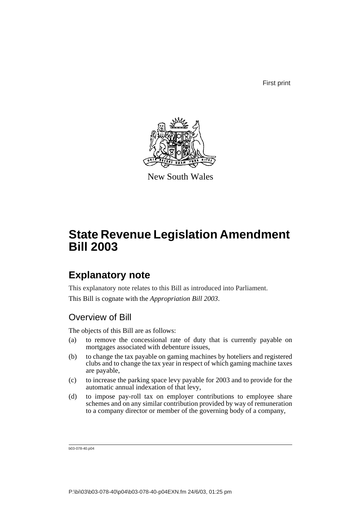First print



New South Wales

# **State Revenue Legislation Amendment Bill 2003**

# **Explanatory note**

This explanatory note relates to this Bill as introduced into Parliament. This Bill is cognate with the *Appropriation Bill 2003*.

## Overview of Bill

The objects of this Bill are as follows:

- (a) to remove the concessional rate of duty that is currently payable on mortgages associated with debenture issues,
- (b) to change the tax payable on gaming machines by hoteliers and registered clubs and to change the tax year in respect of which gaming machine taxes are payable,
- (c) to increase the parking space levy payable for 2003 and to provide for the automatic annual indexation of that levy,
- (d) to impose pay-roll tax on employer contributions to employee share schemes and on any similar contribution provided by way of remuneration to a company director or member of the governing body of a company,

b03-078-40.p04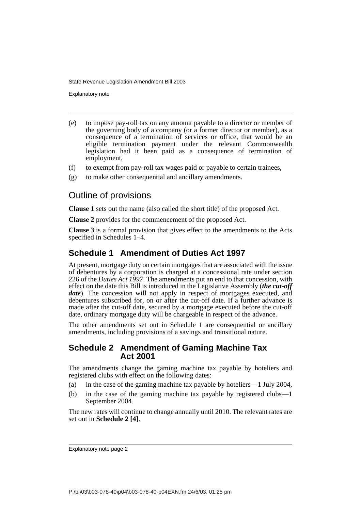Explanatory note

- (e) to impose pay-roll tax on any amount payable to a director or member of the governing body of a company (or a former director or member), as a consequence of a termination of services or office, that would be an eligible termination payment under the relevant Commonwealth legislation had it been paid as a consequence of termination of employment,
- (f) to exempt from pay-roll tax wages paid or payable to certain trainees,
- (g) to make other consequential and ancillary amendments.

## Outline of provisions

**Clause 1** sets out the name (also called the short title) of the proposed Act.

**Clause 2** provides for the commencement of the proposed Act.

**Clause 3** is a formal provision that gives effect to the amendments to the Acts specified in Schedules 1–4.

## **Schedule 1 Amendment of Duties Act 1997**

At present, mortgage duty on certain mortgages that are associated with the issue of debentures by a corporation is charged at a concessional rate under section 226 of the *Duties Act 1997*. The amendments put an end to that concession, with effect on the date this Bill is introduced in the Legislative Assembly (*the cut-off* date). The concession will not apply in respect of mortgages executed, and debentures subscribed for, on or after the cut-off date. If a further advance is made after the cut-off date, secured by a mortgage executed before the cut-off date, ordinary mortgage duty will be chargeable in respect of the advance.

The other amendments set out in Schedule 1 are consequential or ancillary amendments, including provisions of a savings and transitional nature.

## **Schedule 2 Amendment of Gaming Machine Tax Act 2001**

The amendments change the gaming machine tax payable by hoteliers and registered clubs with effect on the following dates:

- (a) in the case of the gaming machine tax payable by hoteliers—1 July 2004,
- (b) in the case of the gaming machine tax payable by registered clubs—1 September 2004.

The new rates will continue to change annually until 2010. The relevant rates are set out in **Schedule 2 [4]**.

Explanatory note page 2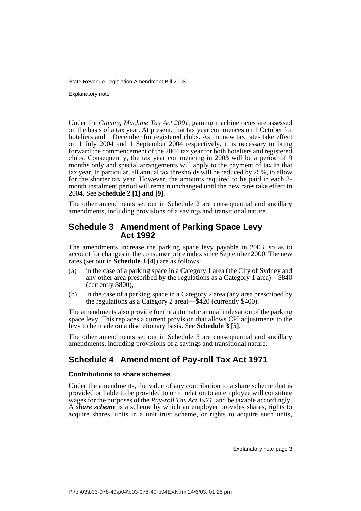Explanatory note

Under the *Gaming Machine Tax Act 2001*, gaming machine taxes are assessed on the basis of a tax year. At present, that tax year commences on 1 October for hoteliers and 1 December for registered clubs. As the new tax rates take effect on 1 July 2004 and 1 September 2004 respectively, it is necessary to bring forward the commencement of the 2004 tax year for both hoteliers and registered clubs. Consequently, the tax year commencing in 2003 will be a period of 9 months only and special arrangements will apply to the payment of tax in that tax year. In particular, all annual tax thresholds will be reduced by 25%, to allow for the shorter tax year. However, the amounts required to be paid in each 3 month instalment period will remain unchanged until the new rates take effect in 2004. See **Schedule 2 [1] and [9]**.

The other amendments set out in Schedule 2 are consequential and ancillary amendments, including provisions of a savings and transitional nature.

## **Schedule 3 Amendment of Parking Space Levy Act 1992**

The amendments increase the parking space levy payable in 2003, so as to account for changes in the consumer price index since September 2000. The new rates (set out in **Schedule 3 [4]**) are as follows:

- (a) in the case of a parking space in a Category 1 area (the City of Sydney and any other area prescribed by the regulations as a Category 1 area)—\$840 (currently \$800),
- (b) in the case of a parking space in a Category 2 area (any area prescribed by the regulations as a Category 2 area)—\$420 (currently \$400).

The amendments also provide for the automatic annual indexation of the parking space levy. This replaces a current provision that allows CPI adjustments to the levy to be made on a discretionary basis. See **Schedule 3 [5]**.

The other amendments set out in Schedule 3 are consequential and ancillary amendments, including provisions of a savings and transitional nature.

## **Schedule 4 Amendment of Pay-roll Tax Act 1971**

#### **Contributions to share schemes**

Under the amendments, the value of any contribution to a share scheme that is provided or liable to be provided to or in relation to an employee will constitute wages for the purposes of the *Pay-roll Tax Act 1971*, and be taxable accordingly. A *share scheme* is a scheme by which an employer provides shares, rights to acquire shares, units in a unit trust scheme, or rights to acquire such units,

Explanatory note page 3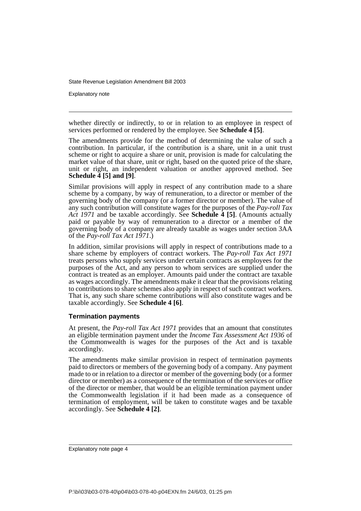Explanatory note

whether directly or indirectly, to or in relation to an employee in respect of services performed or rendered by the employee. See **Schedule 4 [5]**.

The amendments provide for the method of determining the value of such a contribution. In particular, if the contribution is a share, unit in a unit trust scheme or right to acquire a share or unit, provision is made for calculating the market value of that share, unit or right, based on the quoted price of the share, unit or right, an independent valuation or another approved method. See **Schedule 4 [5] and [9]**.

Similar provisions will apply in respect of any contribution made to a share scheme by a company, by way of remuneration, to a director or member of the governing body of the company (or a former director or member). The value of any such contribution will constitute wages for the purposes of the *Pay-roll Tax Act 1971* and be taxable accordingly. See **Schedule 4 [5]**. (Amounts actually paid or payable by way of remuneration to a director or a member of the governing body of a company are already taxable as wages under section 3AA of the *Pay-roll Tax Act 1971*.)

In addition, similar provisions will apply in respect of contributions made to a share scheme by employers of contract workers. The *Pay-roll Tax Act 1971* treats persons who supply services under certain contracts as employees for the purposes of the Act, and any person to whom services are supplied under the contract is treated as an employer. Amounts paid under the contract are taxable as wages accordingly. The amendments make it clear that the provisions relating to contributions to share schemes also apply in respect of such contract workers. That is, any such share scheme contributions will also constitute wages and be taxable accordingly. See **Schedule 4 [6]**.

#### **Termination payments**

At present, the *Pay-roll Tax Act 1971* provides that an amount that constitutes an eligible termination payment under the *Income Tax Assessment Act 1936* of the Commonwealth is wages for the purposes of the Act and is taxable accordingly.

The amendments make similar provision in respect of termination payments paid to directors or members of the governing body of a company. Any payment made to or in relation to a director or member of the governing body (or a former director or member) as a consequence of the termination of the services or office of the director or member, that would be an eligible termination payment under the Commonwealth legislation if it had been made as a consequence of termination of employment, will be taken to constitute wages and be taxable accordingly. See **Schedule 4 [2]**.

Explanatory note page 4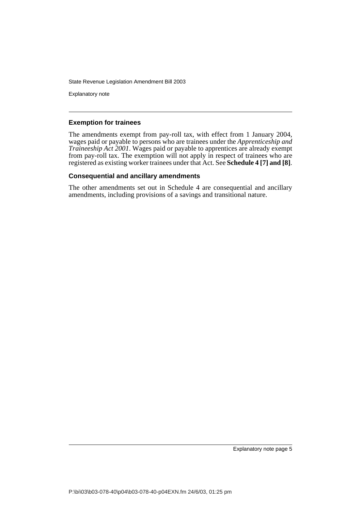Explanatory note

#### **Exemption for trainees**

The amendments exempt from pay-roll tax, with effect from 1 January 2004, wages paid or payable to persons who are trainees under the *Apprenticeship and Traineeship Act 2001*. Wages paid or payable to apprentices are already exempt from pay-roll tax. The exemption will not apply in respect of trainees who are registered as existing worker trainees under that Act. See **Schedule 4 [7] and [8]**.

#### **Consequential and ancillary amendments**

The other amendments set out in Schedule 4 are consequential and ancillary amendments, including provisions of a savings and transitional nature.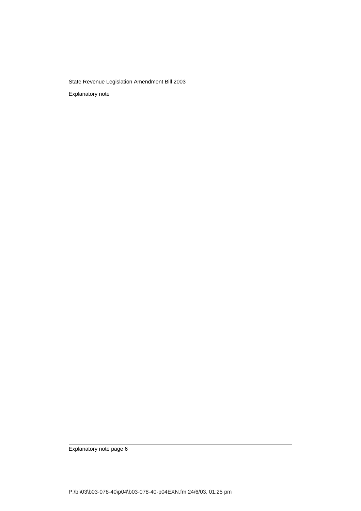Explanatory note

Explanatory note page 6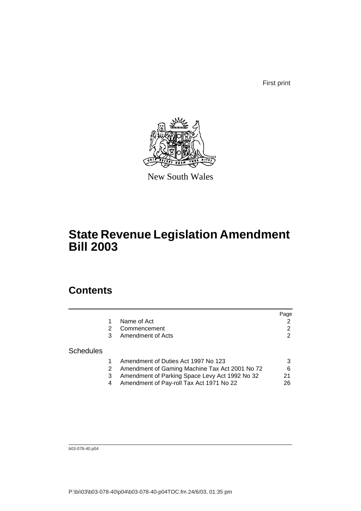First print



New South Wales

# **State Revenue Legislation Amendment Bill 2003**

## **Contents**

|   |                                                | Page           |
|---|------------------------------------------------|----------------|
|   | Name of Act                                    | 2              |
| 2 | Commencement                                   | 2              |
| 3 | Amendment of Acts                              | $\overline{2}$ |
|   |                                                |                |
|   | Amendment of Duties Act 1997 No 123            | 3              |
| 2 | Amendment of Gaming Machine Tax Act 2001 No 72 | 6              |
| 3 | Amendment of Parking Space Levy Act 1992 No 32 | 21             |
| 4 | Amendment of Pay-roll Tax Act 1971 No 22       | 26             |
|   |                                                |                |

b03-078-40.p04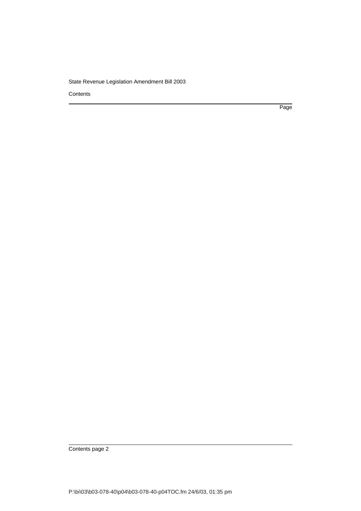**Contents** 

Page

Contents page 2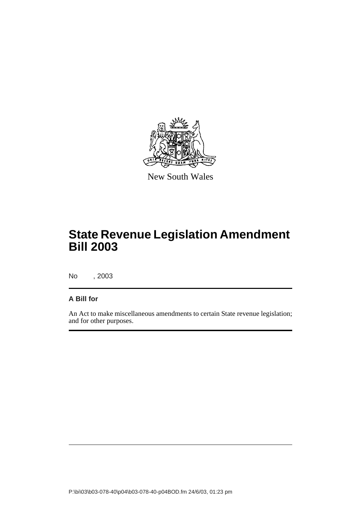

New South Wales

# **State Revenue Legislation Amendment Bill 2003**

No , 2003

## **A Bill for**

An Act to make miscellaneous amendments to certain State revenue legislation; and for other purposes.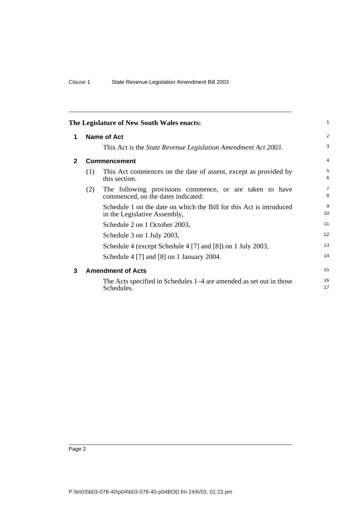<span id="page-9-2"></span><span id="page-9-1"></span><span id="page-9-0"></span>

| The Legislature of New South Wales enacts: |     |                                                                                                     |                     |  |  |
|--------------------------------------------|-----|-----------------------------------------------------------------------------------------------------|---------------------|--|--|
| <b>Name of Act</b><br>1                    |     |                                                                                                     |                     |  |  |
|                                            |     | This Act is the <i>State Revenue Legislation Amendment Act 2003</i> .                               | 3                   |  |  |
| $\mathbf{2}$                               |     | <b>Commencement</b>                                                                                 | $\overline{4}$      |  |  |
|                                            | (1) | This Act commences on the date of assent, except as provided by<br>this section.                    | 5<br>6              |  |  |
|                                            | (2) | The following provisions commence, or are taken to have<br>commenced, on the dates indicated:       | $\overline{7}$<br>8 |  |  |
|                                            |     | Schedule 1 on the date on which the Bill for this Act is introduced<br>in the Legislative Assembly, | 9<br>10             |  |  |
|                                            |     | Schedule 2 on 1 October 2003,                                                                       | 11                  |  |  |
|                                            |     | Schedule 3 on 1 July 2003,                                                                          | 12                  |  |  |
|                                            |     | Schedule 4 (except Schedule 4 [7] and [8]) on 1 July 2003,                                          | 13                  |  |  |
|                                            |     | Schedule $4\left[7\right]$ and $\left[8\right]$ on 1 January 2004.                                  | 14                  |  |  |
| 3                                          |     | <b>Amendment of Acts</b>                                                                            | 15                  |  |  |
|                                            |     | The Acts specified in Schedules 1–4 are amended as set out in those<br>Schedules.                   | 16<br>17            |  |  |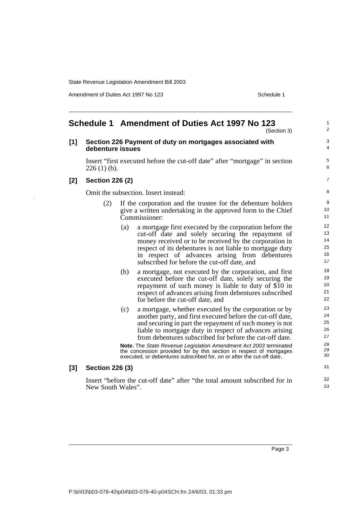Amendment of Duties Act 1997 No 123

 $\frac{1}{2}$ 

5 6

<span id="page-10-0"></span>

|       |                        | Schedule 1 Amendment of Duties Act 1997 No 123<br>(Section 3)                                                                                                                                                                                                                                                                              |
|-------|------------------------|--------------------------------------------------------------------------------------------------------------------------------------------------------------------------------------------------------------------------------------------------------------------------------------------------------------------------------------------|
| [1]   | debenture issues       | Section 226 Payment of duty on mortgages associated with                                                                                                                                                                                                                                                                                   |
|       | $226(1)(b)$ .          | Insert "first executed before the cut-off date" after "mortgage" in section                                                                                                                                                                                                                                                                |
| $[2]$ | <b>Section 226 (2)</b> |                                                                                                                                                                                                                                                                                                                                            |
|       |                        | Omit the subsection. Insert instead:                                                                                                                                                                                                                                                                                                       |
|       | (2)                    | If the corporation and the trustee for the debenture holders<br>give a written undertaking in the approved form to the Chief<br>Commissioner:                                                                                                                                                                                              |
|       |                        | a mortgage first executed by the corporation before the<br>(a)<br>cut-off date and solely securing the repayment of<br>money received or to be received by the corporation in<br>respect of its debentures is not liable to mortgage duty<br>in respect of advances arising from debentures<br>subscribed for before the cut-off date, and |
|       |                        | a mortgage, not executed by the corporation, and first<br>(b)<br>executed before the cut-off date, solely securing the<br>repayment of such money is liable to duty of \$10 in<br>respect of advances arising from debentures subscribed<br>for before the cut-off date, and                                                               |
|       |                        | a mortgage, whether executed by the corporation or by<br>(c)<br>another party, and first executed before the cut-off date,<br>and securing in part the repayment of such money is not<br>liable to mortgage duty in respect of advances arising<br>from debentures subscribed for before the cut-off date.                                 |
|       |                        | Note. The State Revenue Legislation Amendment Act 2003 terminated<br>the concession provided for by this section in respect of mortgages<br>executed, or debentures subscribed for, on or after the cut-off date.                                                                                                                          |
| $[3]$ | <b>Section 226 (3)</b> |                                                                                                                                                                                                                                                                                                                                            |
|       | New South Wales".      | Insert "before the cut-off date" after "the total amount subscribed for in                                                                                                                                                                                                                                                                 |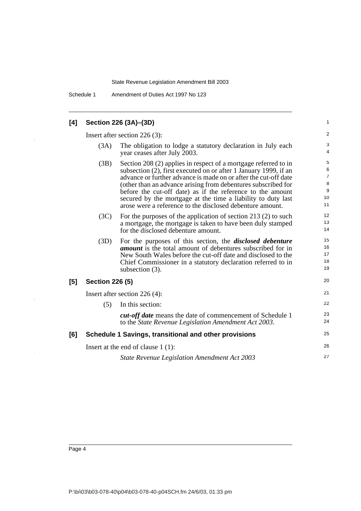Schedule 1 Amendment of Duties Act 1997 No 123

#### **[4] Section 226 (3A)–(3D)** Insert after section 226 (3): (3A) The obligation to lodge a statutory declaration in July each year ceases after July 2003. (3B) Section 208 (2) applies in respect of a mortgage referred to in subsection (2), first executed on or after 1 January 1999, if an advance or further advance is made on or after the cut-off date (other than an advance arising from debentures subscribed for before the cut-off date) as if the reference to the amount secured by the mortgage at the time a liability to duty last arose were a reference to the disclosed debenture amount. (3C) For the purposes of the application of section 213 (2) to such a mortgage, the mortgage is taken to have been duly stamped for the disclosed debenture amount. (3D) For the purposes of this section, the *disclosed debenture amount* is the total amount of debentures subscribed for in New South Wales before the cut-off date and disclosed to the Chief Commissioner in a statutory declaration referred to in subsection (3). **[5] Section 226 (5)** Insert after section 226 (4): (5) In this section: *cut-off date* means the date of commencement of Schedule 1 to the *State Revenue Legislation Amendment Act 2003*. **[6] Schedule 1 Savings, transitional and other provisions** Insert at the end of clause 1 (1): *State Revenue Legislation Amendment Act 2003* 1  $\overline{2}$ 3 4 5 6 7 8 9 10 11 12 13 14 15 16 17 18 19 20 21 22 23 24 25 26 27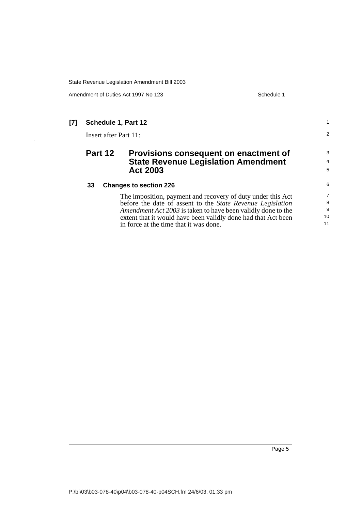Amendment of Duties Act 1997 No 123 Schedule 1

#### **[7] Schedule 1, Part 12** Insert after Part 11: **Part 12 Provisions consequent on enactment of State Revenue Legislation Amendment Act 2003 33 Changes to section 226** The imposition, payment and recovery of duty under this Act before the date of assent to the *State Revenue Legislation Amendment Act 2003* is taken to have been validly done to the extent that it would have been validly done had that Act been in force at the time that it was done. 1 2 3 4 5 6 7 8 9 10 11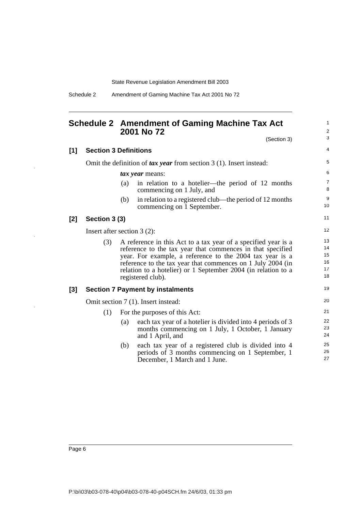## <span id="page-13-0"></span>**Schedule 2 Amendment of Gaming Machine Tax Act 2001 No 72**

1 2

|       |                               |     | (Section 3)                                                                                                                                                                                                                                                                                                                                   | 3                                |  |  |
|-------|-------------------------------|-----|-----------------------------------------------------------------------------------------------------------------------------------------------------------------------------------------------------------------------------------------------------------------------------------------------------------------------------------------------|----------------------------------|--|--|
| $[1]$ | <b>Section 3 Definitions</b>  |     |                                                                                                                                                                                                                                                                                                                                               | $\overline{4}$                   |  |  |
|       |                               |     | Omit the definition of <i>tax year</i> from section $3(1)$ . Insert instead:                                                                                                                                                                                                                                                                  | 5                                |  |  |
|       |                               |     | tax year means:                                                                                                                                                                                                                                                                                                                               | 6                                |  |  |
|       |                               | (a) | in relation to a hotelier—the period of 12 months<br>commencing on 1 July, and                                                                                                                                                                                                                                                                | $\overline{7}$<br>8              |  |  |
|       |                               | (b) | in relation to a registered club—the period of 12 months<br>commencing on 1 September.                                                                                                                                                                                                                                                        | 9<br>10                          |  |  |
| $[2]$ | Section 3 (3)                 |     |                                                                                                                                                                                                                                                                                                                                               | 11                               |  |  |
|       | Insert after section $3(2)$ : |     |                                                                                                                                                                                                                                                                                                                                               |                                  |  |  |
|       | (3)                           |     | A reference in this Act to a tax year of a specified year is a<br>reference to the tax year that commences in that specified<br>year. For example, a reference to the 2004 tax year is a<br>reference to the tax year that commences on 1 July 2004 (in<br>relation to a hotelier) or 1 September 2004 (in relation to a<br>registered club). | 13<br>14<br>15<br>16<br>17<br>18 |  |  |
| $[3]$ |                               |     | <b>Section 7 Payment by instalments</b>                                                                                                                                                                                                                                                                                                       | 19                               |  |  |
|       |                               |     | Omit section 7 (1). Insert instead:                                                                                                                                                                                                                                                                                                           | 20                               |  |  |
|       | (1)                           |     | For the purposes of this Act:                                                                                                                                                                                                                                                                                                                 | 21                               |  |  |
|       |                               | (a) | each tax year of a hotelier is divided into 4 periods of 3<br>months commencing on 1 July, 1 October, 1 January<br>and 1 April, and                                                                                                                                                                                                           | 22<br>23<br>24                   |  |  |
|       |                               | (b) | each tax year of a registered club is divided into 4<br>periods of 3 months commencing on 1 September, 1<br>December, 1 March and 1 June.                                                                                                                                                                                                     | 25<br>26<br>27                   |  |  |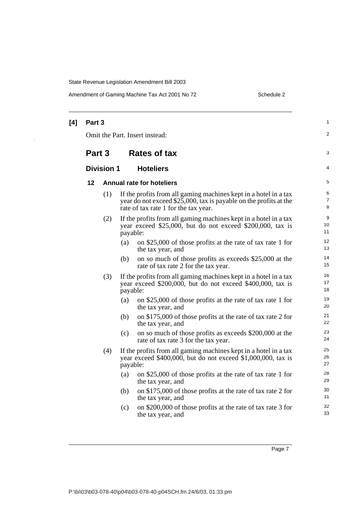Amendment of Gaming Machine Tax Act 2001 No 72 Schedule 2

| [4] | Part 3 |                                  |          |                                                                                                                                                                               | 1              |  |
|-----|--------|----------------------------------|----------|-------------------------------------------------------------------------------------------------------------------------------------------------------------------------------|----------------|--|
|     |        |                                  |          |                                                                                                                                                                               |                |  |
|     |        |                                  |          | Omit the Part. Insert instead:                                                                                                                                                | 2              |  |
|     | Part 3 |                                  |          | <b>Rates of tax</b>                                                                                                                                                           | 3              |  |
|     |        | <b>Division 1</b>                |          | <b>Hoteliers</b>                                                                                                                                                              | 4              |  |
|     | 12     | <b>Annual rate for hoteliers</b> |          |                                                                                                                                                                               |                |  |
|     |        | (1)                              |          | If the profits from all gaming machines kept in a hotel in a tax<br>year do not exceed \$25,000, tax is payable on the profits at the<br>rate of tax rate 1 for the tax year. | 6<br>7<br>8    |  |
|     |        | (2)                              | payable: | If the profits from all gaming machines kept in a hotel in a tax<br>year exceed \$25,000, but do not exceed \$200,000, tax is                                                 | 9<br>10<br>11  |  |
|     |        |                                  | (a)      | on \$25,000 of those profits at the rate of tax rate 1 for<br>the tax year, and                                                                                               | 12<br>13       |  |
|     |        |                                  | (b)      | on so much of those profits as exceeds \$25,000 at the<br>rate of tax rate 2 for the tax year.                                                                                | 14<br>15       |  |
|     |        | (3)                              | payable: | If the profits from all gaming machines kept in a hotel in a tax<br>year exceed \$200,000, but do not exceed \$400,000, tax is                                                | 16<br>17<br>18 |  |
|     |        |                                  | (a)      | on \$25,000 of those profits at the rate of tax rate 1 for<br>the tax year, and                                                                                               | 19<br>20       |  |
|     |        |                                  | (b)      | on \$175,000 of those profits at the rate of tax rate 2 for<br>the tax year, and                                                                                              | 21<br>22       |  |
|     |        |                                  | (c)      | on so much of those profits as exceeds \$200,000 at the<br>rate of tax rate 3 for the tax year.                                                                               | 23<br>24       |  |
|     |        | (4)                              | payable: | If the profits from all gaming machines kept in a hotel in a tax<br>year exceed \$400,000, but do not exceed \$1,000,000, tax is                                              | 25<br>26<br>27 |  |
|     |        |                                  | (a)      | on \$25,000 of those profits at the rate of tax rate 1 for<br>the tax year, and                                                                                               | 28<br>29       |  |
|     |        |                                  | (b)      | on \$175,000 of those profits at the rate of tax rate 2 for<br>the tax year, and                                                                                              | 30<br>31       |  |
|     |        |                                  | (c)      | on \$200,000 of those profits at the rate of tax rate 3 for<br>the tax year, and                                                                                              | 32<br>33       |  |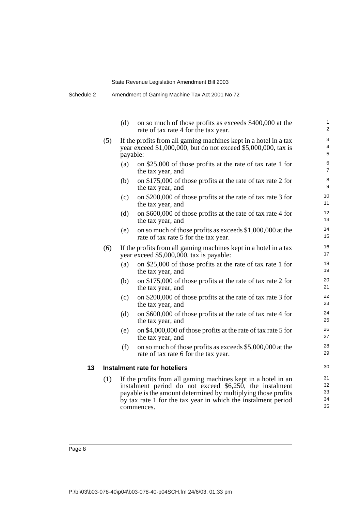| Schedule 2 | Amendment of Gaming Machine Tax Act 2001 No 72 |
|------------|------------------------------------------------|
|------------|------------------------------------------------|

|    |     | (d)      | on so much of those profits as exceeds \$400,000 at the<br>rate of tax rate 4 for the tax year.                                                                                                                                                            | $\mathbf{1}$<br>$\overline{2}$ |
|----|-----|----------|------------------------------------------------------------------------------------------------------------------------------------------------------------------------------------------------------------------------------------------------------------|--------------------------------|
|    | (5) | payable: | If the profits from all gaming machines kept in a hotel in a tax<br>year exceed \$1,000,000, but do not exceed \$5,000,000, tax is                                                                                                                         | 3<br>4<br>5                    |
|    |     | (a)      | on \$25,000 of those profits at the rate of tax rate 1 for<br>the tax year, and                                                                                                                                                                            | 6<br>7                         |
|    |     | (b)      | on \$175,000 of those profits at the rate of tax rate 2 for<br>the tax year, and                                                                                                                                                                           | 8<br>9                         |
|    |     | (c)      | on \$200,000 of those profits at the rate of tax rate 3 for<br>the tax year, and                                                                                                                                                                           | 10<br>11                       |
|    |     | (d)      | on \$600,000 of those profits at the rate of tax rate 4 for<br>the tax year, and                                                                                                                                                                           | 12<br>13                       |
|    |     | (e)      | on so much of those profits as exceeds \$1,000,000 at the<br>rate of tax rate 5 for the tax year.                                                                                                                                                          | 14<br>15                       |
|    | (6) |          | If the profits from all gaming machines kept in a hotel in a tax<br>year exceed \$5,000,000, tax is payable:                                                                                                                                               | 16<br>17                       |
|    |     | (a)      | on \$25,000 of those profits at the rate of tax rate 1 for<br>the tax year, and                                                                                                                                                                            | 18<br>19                       |
|    |     | (b)      | on \$175,000 of those profits at the rate of tax rate 2 for<br>the tax year, and                                                                                                                                                                           | 20<br>21                       |
|    |     | (c)      | on \$200,000 of those profits at the rate of tax rate 3 for<br>the tax year, and                                                                                                                                                                           | 22<br>23                       |
|    |     | (d)      | on \$600,000 of those profits at the rate of tax rate 4 for<br>the tax year, and                                                                                                                                                                           | 24<br>25                       |
|    |     | (e)      | on \$4,000,000 of those profits at the rate of tax rate 5 for<br>the tax year, and                                                                                                                                                                         | 26<br>27                       |
|    |     | (f)      | on so much of those profits as exceeds \$5,000,000 at the<br>rate of tax rate 6 for the tax year.                                                                                                                                                          | 28<br>29                       |
| 13 |     |          | Instalment rate for hoteliers                                                                                                                                                                                                                              | 30                             |
|    | (1) |          | If the profits from all gaming machines kept in a hotel in an<br>instalment period do not exceed \$6,250, the instalment<br>payable is the amount determined by multiplying those profits<br>by tax rate 1 for the tax year in which the instalment period | 31<br>32<br>33<br>34           |

35

commences.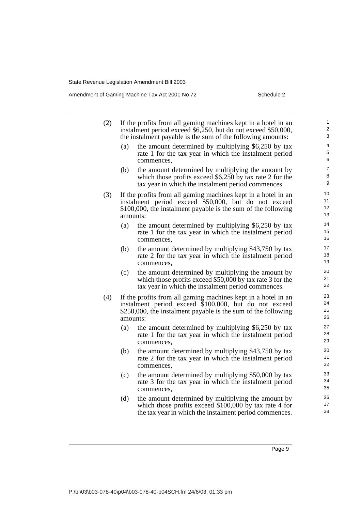Amendment of Gaming Machine Tax Act 2001 No 72 Schedule 2

| (2) |          | If the profits from all gaming machines kept in a hotel in an<br>instalment period exceed \$6,250, but do not exceed \$50,000,<br>the instalment payable is the sum of the following amounts: | $\mathbf{1}$<br>2<br>3 |
|-----|----------|-----------------------------------------------------------------------------------------------------------------------------------------------------------------------------------------------|------------------------|
|     | (a)      | the amount determined by multiplying \$6,250 by tax<br>rate 1 for the tax year in which the instalment period<br>commences,                                                                   | 4<br>5<br>6            |
|     | (b)      | the amount determined by multiplying the amount by<br>which those profits exceed $$6,250$ by tax rate 2 for the<br>tax year in which the instalment period commences.                         | 7<br>8<br>9            |
| (3) | amounts: | If the profits from all gaming machines kept in a hotel in an<br>instalment period exceed \$50,000, but do not exceed<br>\$100,000, the instalment payable is the sum of the following        | 10<br>11<br>12<br>13   |
|     | (a)      | the amount determined by multiplying \$6,250 by tax<br>rate 1 for the tax year in which the instalment period<br>commences.                                                                   | 14<br>15<br>16         |
|     | (b)      | the amount determined by multiplying \$43,750 by tax<br>rate 2 for the tax year in which the instalment period<br>commences.                                                                  | 17<br>18<br>$19$       |
|     | (c)      | the amount determined by multiplying the amount by<br>which those profits exceed \$50,000 by tax rate 3 for the<br>tax year in which the instalment period commences.                         | 20<br>21<br>22         |
| (4) | amounts: | If the profits from all gaming machines kept in a hotel in an<br>instalment period exceed \$100,000, but do not exceed<br>\$250,000, the instalment payable is the sum of the following       | 23<br>24<br>25<br>26   |
|     | (a)      | the amount determined by multiplying \$6,250 by tax<br>rate 1 for the tax year in which the instalment period<br>commences.                                                                   | 27<br>28<br>29         |
|     | (b)      | the amount determined by multiplying \$43,750 by tax<br>rate 2 for the tax year in which the instalment period<br>commences,                                                                  | 30<br>31<br>32         |
|     | (c)      | the amount determined by multiplying \$50,000 by tax<br>rate 3 for the tax year in which the instalment period<br>commences.                                                                  | 33<br>34<br>35         |
|     | (d)      | the amount determined by multiplying the amount by<br>which those profits exceed \$100,000 by tax rate 4 for<br>the tax year in which the instalment period commences                         | 36<br>37<br>38         |

the tax year in which the instalment period commences.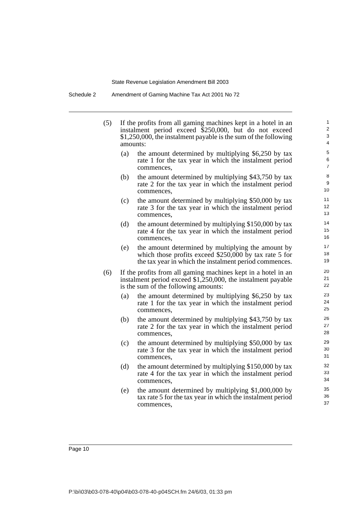Schedule 2 Amendment of Gaming Machine Tax Act 2001 No 72

| (5) | amounts: | If the profits from all gaming machines kept in a hotel in an<br>instalment period exceed \$250,000, but do not exceed<br>$$1,250,000$ , the instalment payable is the sum of the following | 1<br>2<br>3<br>4         |
|-----|----------|---------------------------------------------------------------------------------------------------------------------------------------------------------------------------------------------|--------------------------|
|     | (a)      | the amount determined by multiplying \$6,250 by tax<br>rate 1 for the tax year in which the instalment period<br>commences,                                                                 | 5<br>6<br>$\overline{7}$ |
|     | (b)      | the amount determined by multiplying \$43,750 by tax<br>rate 2 for the tax year in which the instalment period<br>commences,                                                                | 8<br>9<br>10             |
|     | (c)      | the amount determined by multiplying \$50,000 by tax<br>rate 3 for the tax year in which the instalment period<br>commences.                                                                | 11<br>12<br>13           |
|     | (d)      | the amount determined by multiplying \$150,000 by tax<br>rate 4 for the tax year in which the instalment period<br>commences,                                                               | 14<br>15<br>16           |
|     | (e)      | the amount determined by multiplying the amount by<br>which those profits exceed $$250,000$ by tax rate 5 for<br>the tax year in which the instalment period commences.                     | 17<br>18<br>19           |
| (6) |          | If the profits from all gaming machines kept in a hotel in an<br>instalment period exceed \$1,250,000, the instalment payable<br>is the sum of the following amounts:                       | 20<br>21<br>22           |
|     | (a)      | the amount determined by multiplying \$6,250 by tax<br>rate 1 for the tax year in which the instalment period<br>commences,                                                                 | 23<br>24<br>25           |
|     | (b)      | the amount determined by multiplying \$43,750 by tax<br>rate 2 for the tax year in which the instalment period<br>commences.                                                                | 26<br>27<br>28           |
|     | (c)      | the amount determined by multiplying \$50,000 by tax<br>rate 3 for the tax year in which the instalment period<br>commences.                                                                | 29<br>30<br>31           |
|     | (d)      | the amount determined by multiplying \$150,000 by tax<br>rate 4 for the tax year in which the instalment period<br>commences,                                                               | 32<br>33<br>34           |
|     | (e)      | the amount determined by multiplying \$1,000,000 by<br>tax rate 5 for the tax year in which the instalment period<br>commences,                                                             | 35<br>36<br>37           |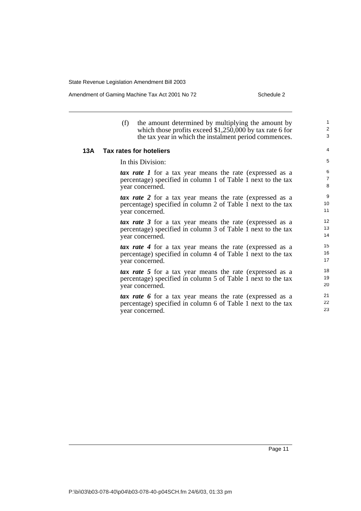Amendment of Gaming Machine Tax Act 2001 No 72 Schedule 2

1  $\overline{2}$ 3

(f) the amount determined by multiplying the amount by which those profits exceed \$1,250,000 by tax rate 6 for the tax year in which the instalment period commences.

#### **13A Tax rates for hoteliers**

In this Division:

*tax rate 1* for a tax year means the rate (expressed as a percentage) specified in column 1 of Table 1 next to the tax year concerned.

*tax rate 2* for a tax year means the rate (expressed as a percentage) specified in column 2 of Table 1 next to the tax year concerned.

*tax rate 3* for a tax year means the rate (expressed as a percentage) specified in column 3 of Table 1 next to the tax year concerned.

*tax rate 4* for a tax year means the rate (expressed as a percentage) specified in column 4 of Table 1 next to the tax year concerned.

*tax rate 5* for a tax year means the rate (expressed as a percentage) specified in column 5 of Table 1 next to the tax year concerned.

*tax rate 6* for a tax year means the rate (expressed as a percentage) specified in column 6 of Table 1 next to the tax year concerned.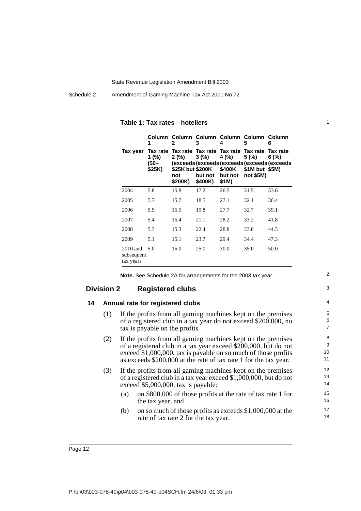Schedule 2 Amendment of Gaming Machine Tax Act 2001 No 72

|                                       | 1                                   | Column Column Column Column Column Column<br>2                          | 3                                   | 4                                           | 5                                   | 6                                                    |
|---------------------------------------|-------------------------------------|-------------------------------------------------------------------------|-------------------------------------|---------------------------------------------|-------------------------------------|------------------------------------------------------|
| Tax year                              | Tax rate<br>1(%)<br>(\$0-<br>\$25K) | Tax rate Tax rate Tax rate Tax rate Tax rate<br>2 (%)<br>not<br>\$200K) | 3(%)<br>\$25K but \$200K<br>\$400K) | 4 (%)<br>\$400K<br>but not but not<br>\$1M) | 5(%)<br>\$1M but \$5M)<br>not \$5M) | 6(%)<br>(exceeds (exceeds (exceeds (exceeds (exceeds |
| 2004                                  | 5.8                                 | 15.8                                                                    | 17.2                                | 26.5                                        | 31.5                                | 33.6                                                 |
| 2005                                  | 5.7                                 | 15.7                                                                    | 18.5                                | 27.1                                        | 32.1                                | 36.4                                                 |
| 2006                                  | 5.5                                 | 15.5                                                                    | 19.8                                | 27.7                                        | 32.7                                | 39.1                                                 |
| 2007                                  | 5.4                                 | 15.4                                                                    | 21.1                                | 28.2                                        | 33.2                                | 41.8                                                 |
| 2008                                  | 5.3                                 | 15.3                                                                    | 22.4                                | 28.8                                        | 33.8                                | 44.5                                                 |
| 2009                                  | 5.1                                 | 15.1                                                                    | 23.7                                | 29.4                                        | 34.4                                | 47.3                                                 |
| $2010$ and<br>subsequent<br>tax years | 5.0                                 | 15.0                                                                    | 25.0                                | 30.0                                        | 35.0                                | 50.0                                                 |

1

2

3

**Table 1: Tax rates—hoteliers**

**Note.** See Schedule 2A for arrangements for the 2003 tax year.

### **Division 2 Registered clubs**

#### **14 Annual rate for registered clubs**

- (1) If the profits from all gaming machines kept on the premises of a registered club in a tax year do not exceed \$200,000, no tax is payable on the profits.
- (2) If the profits from all gaming machines kept on the premises of a registered club in a tax year exceed \$200,000, but do not exceed \$1,000,000, tax is payable on so much of those profits as exceeds \$200,000 at the rate of tax rate 1 for the tax year.
- (3) If the profits from all gaming machines kept on the premises of a registered club in a tax year exceed \$1,000,000, but do not exceed \$5,000,000, tax is payable:
	- (a) on \$800,000 of those profits at the rate of tax rate 1 for the tax year, and
	- (b) on so much of those profits as exceeds \$1,000,000 at the rate of tax rate 2 for the tax year.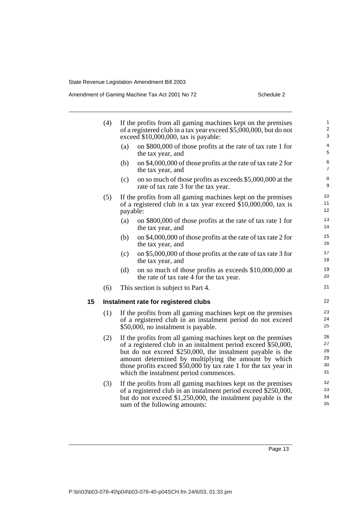|    | (4) |          | If the profits from all gaming machines kept on the premises<br>of a registered club in a tax year exceed \$5,000,000, but do not<br>exceed \$10,000,000, tax is payable:                                                                                                                                                                                        | $\mathbf{1}$<br>2<br>3           |
|----|-----|----------|------------------------------------------------------------------------------------------------------------------------------------------------------------------------------------------------------------------------------------------------------------------------------------------------------------------------------------------------------------------|----------------------------------|
|    |     | (a)      | on \$800,000 of those profits at the rate of tax rate 1 for<br>the tax year, and                                                                                                                                                                                                                                                                                 | $\overline{\mathbf{4}}$<br>5     |
|    |     | (b)      | on \$4,000,000 of those profits at the rate of tax rate 2 for<br>the tax year, and                                                                                                                                                                                                                                                                               | 6<br>$\overline{7}$              |
|    |     | (c)      | on so much of those profits as exceeds \$5,000,000 at the<br>rate of tax rate 3 for the tax year.                                                                                                                                                                                                                                                                | 8<br>9                           |
|    | (5) | payable: | If the profits from all gaming machines kept on the premises<br>of a registered club in a tax year exceed \$10,000,000, tax is                                                                                                                                                                                                                                   | 10 <sup>1</sup><br>11<br>12      |
|    |     | (a)      | on \$800,000 of those profits at the rate of tax rate 1 for<br>the tax year, and                                                                                                                                                                                                                                                                                 | 13<br>14                         |
|    |     | (b)      | on \$4,000,000 of those profits at the rate of tax rate 2 for<br>the tax year, and                                                                                                                                                                                                                                                                               | 15<br>16                         |
|    |     | (c)      | on \$5,000,000 of those profits at the rate of tax rate 3 for<br>the tax year, and                                                                                                                                                                                                                                                                               | 17<br>18                         |
|    |     | (d)      | on so much of those profits as exceeds \$10,000,000 at<br>the rate of tax rate 4 for the tax year.                                                                                                                                                                                                                                                               | 19<br>20                         |
|    | (6) |          | This section is subject to Part 4.                                                                                                                                                                                                                                                                                                                               | 21                               |
| 15 |     |          | Instalment rate for registered clubs                                                                                                                                                                                                                                                                                                                             | 22                               |
|    | (1) |          | If the profits from all gaming machines kept on the premises<br>of a registered club in an instalment period do not exceed<br>\$50,000, no instalment is payable.                                                                                                                                                                                                | 23<br>24<br>25                   |
|    | (2) |          | If the profits from all gaming machines kept on the premises<br>of a registered club in an instalment period exceed \$50,000,<br>but do not exceed \$250,000, the instalment payable is the<br>amount determined by multiplying the amount by which<br>those profits exceed \$50,000 by tax rate 1 for the tax year in<br>which the instalment period commences. | 26<br>27<br>28<br>29<br>30<br>31 |
|    | (3) |          | If the profits from all gaming machines kept on the premises<br>of a registered club in an instalment period exceed \$250,000,<br>but do not exceed \$1,250,000, the instalment payable is the<br>sum of the following amounts:                                                                                                                                  | 32<br>33<br>34<br>35             |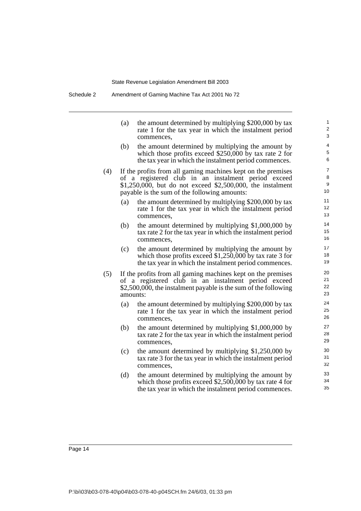|     | (a)      | the amount determined by multiplying \$200,000 by tax<br>rate 1 for the tax year in which the instalment period<br>commences,                                                                                                         | 1<br>$\overline{\mathbf{c}}$<br>3             |
|-----|----------|---------------------------------------------------------------------------------------------------------------------------------------------------------------------------------------------------------------------------------------|-----------------------------------------------|
|     | (b)      | the amount determined by multiplying the amount by<br>which those profits exceed $$250,000$ by tax rate 2 for<br>the tax year in which the instalment period commences.                                                               | 4<br>5<br>6                                   |
| (4) |          | If the profits from all gaming machines kept on the premises<br>of a registered club in an instalment period exceed<br>$$1,250,000$ , but do not exceed $$2,500,000$ , the instalment<br>payable is the sum of the following amounts: | $\overline{7}$<br>8<br>$\boldsymbol{9}$<br>10 |
|     | (a)      | the amount determined by multiplying \$200,000 by tax<br>rate 1 for the tax year in which the instalment period<br>commences,                                                                                                         | 11<br>12<br>13                                |
|     | (b)      | the amount determined by multiplying \$1,000,000 by<br>tax rate 2 for the tax year in which the instalment period<br>commences.                                                                                                       | 14<br>15<br>16                                |
|     | (c)      | the amount determined by multiplying the amount by<br>which those profits exceed $$1,250,000$ by tax rate 3 for<br>the tax year in which the instalment period commences.                                                             | 17<br>18<br>19                                |
| (5) | amounts: | If the profits from all gaming machines kept on the premises<br>of a registered club in an instalment period exceed<br>\$2,500,000, the instalment payable is the sum of the following                                                | 20<br>21<br>22<br>23                          |
|     | (a)      | the amount determined by multiplying \$200,000 by tax<br>rate 1 for the tax year in which the instalment period<br>commences.                                                                                                         | 24<br>25<br>26                                |
|     | (b)      | the amount determined by multiplying $$1,000,000$ by<br>tax rate 2 for the tax year in which the instalment period<br>commences.                                                                                                      | 27<br>28<br>29                                |
|     | (c)      | the amount determined by multiplying \$1,250,000 by<br>tax rate 3 for the tax year in which the instalment period<br>commences,                                                                                                       | 30<br>31<br>32                                |
|     | (d)      | the amount determined by multiplying the amount by<br>which those profits exceed \$2,500,000 by tax rate 4 for<br>the tax year in which the instalment period commences.                                                              | 33<br>34<br>35                                |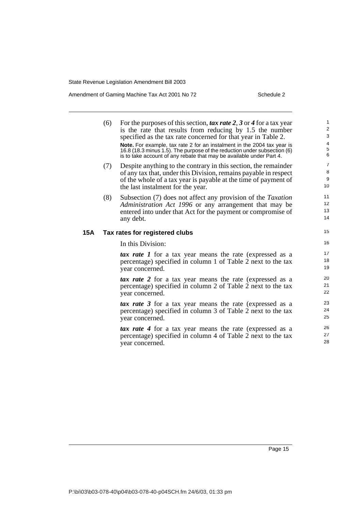**15A** 

Amendment of Gaming Machine Tax Act 2001 No 72 Schedule 2

| (6)<br>For the purposes of this section, tax rate 2, 3 or 4 for a tax year<br>is the rate that results from reducing by 1.5 the number<br>specified as the tax rate concerned for that year in Table 2.                                            | $\mathbf{1}$<br>$\overline{2}$<br>3 |
|----------------------------------------------------------------------------------------------------------------------------------------------------------------------------------------------------------------------------------------------------|-------------------------------------|
| Note. For example, tax rate 2 for an instalment in the 2004 tax year is<br>16.8 (18.3 minus 1.5). The purpose of the reduction under subsection (6)<br>is to take account of any rebate that may be available under Part 4.                        | 4<br>5<br>6                         |
| Despite anything to the contrary in this section, the remainder<br>(7)<br>of any tax that, under this Division, remains payable in respect<br>of the whole of a tax year is payable at the time of payment of<br>the last instalment for the year. | $\overline{7}$<br>8<br>9<br>10      |
| Subsection (7) does not affect any provision of the <i>Taxation</i><br>(8)<br>Administration Act 1996 or any arrangement that may be<br>entered into under that Act for the payment or compromise of<br>any debt.                                  | 11<br>12<br>13<br>14                |
| Tax rates for registered clubs                                                                                                                                                                                                                     | 15                                  |
| In this Division:                                                                                                                                                                                                                                  | 16                                  |
| <i>tax rate 1</i> for a tax year means the rate (expressed as a<br>percentage) specified in column 1 of Table 2 next to the tax<br>year concerned.                                                                                                 | 17<br>18<br>19                      |
| <i>tax rate</i> 2 for a tax year means the rate (expressed as a<br>percentage) specified in column 2 of Table 2 next to the tax<br>year concerned.                                                                                                 | 20<br>21<br>22                      |
| <i>tax rate</i> 3 for a tax year means the rate (expressed as a<br>percentage) specified in column 3 of Table 2 next to the tax<br>year concerned.                                                                                                 | 23<br>24<br>25                      |

*tax rate 4* for a tax year means the rate (expressed as a percentage) specified in column 4 of Table 2 next to the tax year concerned.

Page 15

26 27 28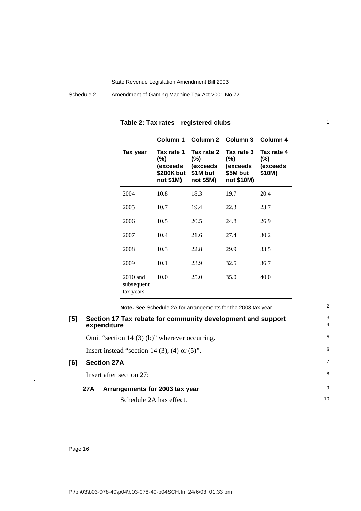Schedule 2 Amendment of Gaming Machine Tax Act 2001 No 72

|                                       | Column 1                                                 |                                                           | Column 2 Column 3                                          | Column 4                                   |
|---------------------------------------|----------------------------------------------------------|-----------------------------------------------------------|------------------------------------------------------------|--------------------------------------------|
| Tax year                              | Tax rate 1<br>(%)<br>(exceeds<br>\$200K but<br>not \$1M) | Tax rate 2<br>$(\%)$<br>(exceeds<br>\$1M but<br>not \$5M) | Tax rate 3<br>$(\%)$<br>exceeds)<br>\$5M but<br>not \$10M) | Tax rate 4<br>$(\%)$<br>(exceeds<br>\$10M) |
| 2004                                  | 10.8                                                     | 18.3                                                      | 19.7                                                       | 20.4                                       |
| 2005                                  | 10.7                                                     | 19.4                                                      | 22.3                                                       | 23.7                                       |
| 2006                                  | 10.5                                                     | 20.5                                                      | 24.8                                                       | 26.9                                       |
| 2007                                  | 10.4                                                     | 21.6                                                      | 27.4                                                       | 30.2                                       |
| 2008                                  | 10.3                                                     | 22.8                                                      | 29.9                                                       | 33.5                                       |
| 2009                                  | 10.1                                                     | 23.9                                                      | 32.5                                                       | 36.7                                       |
| $2010$ and<br>subsequent<br>tax years | 10.0                                                     | 25.0                                                      | 35.0                                                       | 40.0                                       |

1

6 7

### **Table 2: Tax rates—registered clubs**

**Note.** See Schedule 2A for arrangements for the 2003 tax year.

## **[5] Section 17 Tax rebate for community development and support expenditure** Omit "section 14 (3) (b)" wherever occurring.

Insert instead "section 14  $(3)$ ,  $(4)$  or  $(5)$ ".

#### **[6] Section 27A**

| Insert after section 27: | 8                              |    |
|--------------------------|--------------------------------|----|
| 27A                      | Arrangements for 2003 tax year | 9  |
|                          | Schedule 2A has effect.        | 10 |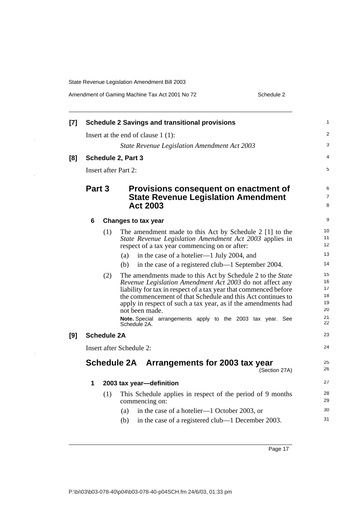$\ddot{\phantom{1}}$ 

 $\bar{z}$ 

 $\hat{\boldsymbol{\beta}}$ 

Amendment of Gaming Machine Tax Act 2001 No 72

| Schedule 2 |  |
|------------|--|
|            |  |

| $[7]$ | <b>Schedule 2 Savings and transitional provisions</b>                                                                                                                                                                                                                                                                                                                                                                             |
|-------|-----------------------------------------------------------------------------------------------------------------------------------------------------------------------------------------------------------------------------------------------------------------------------------------------------------------------------------------------------------------------------------------------------------------------------------|
|       | Insert at the end of clause $1(1)$ :                                                                                                                                                                                                                                                                                                                                                                                              |
|       | State Revenue Legislation Amendment Act 2003                                                                                                                                                                                                                                                                                                                                                                                      |
| [8]   | Schedule 2, Part 3                                                                                                                                                                                                                                                                                                                                                                                                                |
|       | <b>Insert after Part 2:</b>                                                                                                                                                                                                                                                                                                                                                                                                       |
|       | Part 3<br>Provisions consequent on enactment of<br><b>State Revenue Legislation Amendment</b><br><b>Act 2003</b>                                                                                                                                                                                                                                                                                                                  |
|       | 6<br><b>Changes to tax year</b>                                                                                                                                                                                                                                                                                                                                                                                                   |
|       | (1)<br>The amendment made to this Act by Schedule 2 [1] to the<br>State Revenue Legislation Amendment Act 2003 applies in<br>respect of a tax year commencing on or after:                                                                                                                                                                                                                                                        |
|       | in the case of a hotelier—1 July 2004, and<br>(a)                                                                                                                                                                                                                                                                                                                                                                                 |
|       | in the case of a registered club—1 September 2004.<br>(b)                                                                                                                                                                                                                                                                                                                                                                         |
|       | (2)<br>The amendments made to this Act by Schedule 2 to the State<br>Revenue Legislation Amendment Act 2003 do not affect any<br>liability for tax in respect of a tax year that commenced before<br>the commencement of that Schedule and this Act continues to<br>apply in respect of such a tax year, as if the amendments had<br>not been made.<br>Note. Special arrangements apply to the 2003 tax year. See<br>Schedule 2A. |
| [9]   | <b>Schedule 2A</b>                                                                                                                                                                                                                                                                                                                                                                                                                |
|       | Insert after Schedule 2:                                                                                                                                                                                                                                                                                                                                                                                                          |
|       | Schedule 2A Arrangements for 2003 tax year<br>(Section 27A)                                                                                                                                                                                                                                                                                                                                                                       |
|       | 2003 tax year-definition<br>1                                                                                                                                                                                                                                                                                                                                                                                                     |
|       | (1)<br>This Schedule applies in respect of the period of 9 months<br>commencing on:                                                                                                                                                                                                                                                                                                                                               |
|       | in the case of a hotelier—1 October 2003, or<br>(a)                                                                                                                                                                                                                                                                                                                                                                               |
|       | in the case of a registered club—1 December 2003.<br>(b)                                                                                                                                                                                                                                                                                                                                                                          |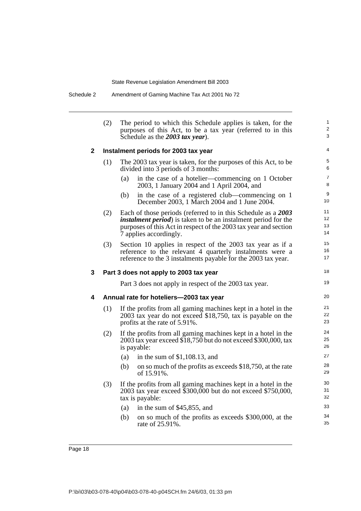Schedule 2 Amendment of Gaming Machine Tax Act 2001 No 72

|              | (2)                                  | The period to which this Schedule applies is taken, for the<br>purposes of this Act, to be a tax year (referred to in this<br>Schedule as the 2003 tax year).                                                                         | 1<br>$\overline{\mathbf{c}}$<br>3 |
|--------------|--------------------------------------|---------------------------------------------------------------------------------------------------------------------------------------------------------------------------------------------------------------------------------------|-----------------------------------|
| $\mathbf{2}$ | Instalment periods for 2003 tax year |                                                                                                                                                                                                                                       |                                   |
|              | (1)                                  | The 2003 tax year is taken, for the purposes of this Act, to be<br>divided into 3 periods of 3 months:                                                                                                                                | 5<br>6                            |
|              |                                      | in the case of a hotelier—commencing on 1 October<br>(a)<br>2003, 1 January 2004 and 1 April 2004, and                                                                                                                                | $\overline{7}$<br>8               |
|              |                                      | in the case of a registered club—commencing on 1<br>(b)<br>December 2003, 1 March 2004 and 1 June 2004.                                                                                                                               | 9<br>10                           |
|              | (2)                                  | Each of those periods (referred to in this Schedule as a 2003<br><i>instalment period</i> ) is taken to be an instalment period for the<br>purposes of this Act in respect of the 2003 tax year and section<br>7 applies accordingly. | 11<br>12<br>13<br>14              |
|              | (3)                                  | Section 10 applies in respect of the 2003 tax year as if a<br>reference to the relevant 4 quarterly instalments were a<br>reference to the 3 instalments payable for the 2003 tax year.                                               | 15<br>16<br>17                    |
| 3            |                                      | Part 3 does not apply to 2003 tax year                                                                                                                                                                                                | 18                                |
|              |                                      | Part 3 does not apply in respect of the 2003 tax year.                                                                                                                                                                                | 19                                |
| 4            |                                      | Annual rate for hoteliers-2003 tax year                                                                                                                                                                                               | 20                                |
|              | (1)                                  | If the profits from all gaming machines kept in a hotel in the<br>2003 tax year do not exceed \$18,750, tax is payable on the<br>profits at the rate of 5.91%.                                                                        | 21<br>22<br>23                    |
|              | (2)                                  | If the profits from all gaming machines kept in a hotel in the<br>2003 tax year exceed \$18,750 but do not exceed \$300,000, tax<br>is payable:                                                                                       | 24<br>25<br>26                    |
|              |                                      | in the sum of $$1,108.13$ , and<br>(a)                                                                                                                                                                                                | 27                                |
|              |                                      | (b)<br>on so much of the profits as exceeds \$18,750, at the rate<br>of 15.91%.                                                                                                                                                       | 28<br>29                          |
|              | (3)                                  | If the profits from all gaming machines kept in a hotel in the<br>2003 tax year exceed \$300,000 but do not exceed \$750,000,<br>tax is payable:                                                                                      | 30<br>31<br>32                    |
|              |                                      | (a)<br>in the sum of \$45,855, and                                                                                                                                                                                                    | 33                                |
|              |                                      | on so much of the profits as exceeds \$300,000, at the<br>(b)<br>rate of 25.91%.                                                                                                                                                      | 34<br>35                          |
|              |                                      |                                                                                                                                                                                                                                       |                                   |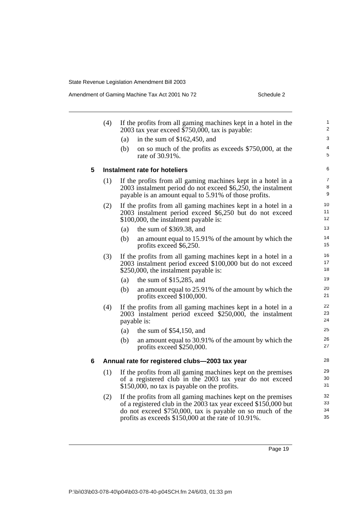|   | (4) | If the profits from all gaming machines kept in a hotel in the<br>2003 tax year exceed \$750,000, tax is payable:                                                                                                                                  | $\mathbf{1}$<br>$\overline{2}$ |
|---|-----|----------------------------------------------------------------------------------------------------------------------------------------------------------------------------------------------------------------------------------------------------|--------------------------------|
|   |     | in the sum of $$162,450$ , and<br>(a)                                                                                                                                                                                                              | 3                              |
|   |     | (b)<br>on so much of the profits as exceeds \$750,000, at the<br>rate of 30.91%.                                                                                                                                                                   | 4<br>5                         |
| 5 |     | <b>Instalment rate for hoteliers</b>                                                                                                                                                                                                               | 6                              |
|   | (1) | If the profits from all gaming machines kept in a hotel in a<br>2003 instalment period do not exceed \$6,250, the instalment<br>payable is an amount equal to 5.91% of those profits.                                                              | $\overline{7}$<br>8<br>9       |
|   | (2) | If the profits from all gaming machines kept in a hotel in a<br>2003 instalment period exceed \$6,250 but do not exceed<br>\$100,000, the instalment payable is:                                                                                   | 10<br>11<br>12 <sup>2</sup>    |
|   |     | the sum of \$369.38, and<br>(a)                                                                                                                                                                                                                    | 13                             |
|   |     | (b)<br>an amount equal to 15.91% of the amount by which the<br>profits exceed \$6,250.                                                                                                                                                             | 14<br>15                       |
|   | (3) | If the profits from all gaming machines kept in a hotel in a<br>2003 instalment period exceed \$100,000 but do not exceed<br>\$250,000, the instalment payable is:                                                                                 | 16<br>17<br>18                 |
|   |     | the sum of $$15,285$ , and<br>(a)                                                                                                                                                                                                                  | 19                             |
|   |     | (b)<br>an amount equal to 25.91% of the amount by which the<br>profits exceed \$100,000.                                                                                                                                                           | 20<br>21                       |
|   | (4) | If the profits from all gaming machines kept in a hotel in a<br>2003 instalment period exceed \$250,000, the instalment<br>payable is:                                                                                                             | 22<br>23<br>24                 |
|   |     | the sum of $$54,150$ , and<br>(a)                                                                                                                                                                                                                  | 25                             |
|   |     | an amount equal to 30.91% of the amount by which the<br>(b)<br>profits exceed \$250,000.                                                                                                                                                           | 26<br>27                       |
| 6 |     | Annual rate for registered clubs-2003 tax year                                                                                                                                                                                                     | 28                             |
|   | (1) | If the profits from all gaming machines kept on the premises<br>of a registered club in the 2003 tax year do not exceed<br>\$150,000, no tax is payable on the profits.                                                                            | 29<br>30<br>31                 |
|   | (2) | If the profits from all gaming machines kept on the premises<br>of a registered club in the 2003 tax year exceed \$150,000 but<br>do not exceed \$750,000, tax is payable on so much of the<br>profits as exceeds \$150,000 at the rate of 10.91%. | 32<br>33<br>34<br>35           |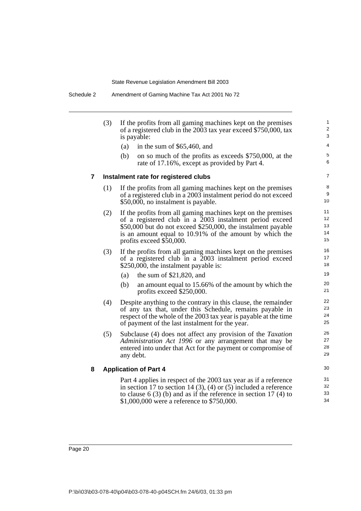|   | (3) |           | If the profits from all gaming machines kept on the premises<br>of a registered club in the 2003 tax year exceed \$750,000, tax<br>is payable:                                                                                                                                 | 1<br>$\overline{2}$<br>3   |
|---|-----|-----------|--------------------------------------------------------------------------------------------------------------------------------------------------------------------------------------------------------------------------------------------------------------------------------|----------------------------|
|   |     | (a)       | in the sum of $$65,460$ , and                                                                                                                                                                                                                                                  | 4                          |
|   |     | (b)       | on so much of the profits as exceeds \$750,000, at the<br>rate of 17.16%, except as provided by Part 4.                                                                                                                                                                        | 5<br>6                     |
| 7 |     |           | Instalment rate for registered clubs                                                                                                                                                                                                                                           | 7                          |
|   | (1) |           | If the profits from all gaming machines kept on the premises<br>of a registered club in a 2003 instalment period do not exceed<br>\$50,000, no instalment is payable.                                                                                                          | 8<br>9<br>10               |
|   | (2) |           | If the profits from all gaming machines kept on the premises<br>of a registered club in a 2003 instalment period exceed<br>\$50,000 but do not exceed \$250,000, the instalment payable<br>is an amount equal to 10.91% of the amount by which the<br>profits exceed \$50,000. | 11<br>12<br>13<br>14<br>15 |
|   | (3) |           | If the profits from all gaming machines kept on the premises<br>of a registered club in a 2003 instalment period exceed<br>\$250,000, the instalment payable is:                                                                                                               | 16<br>17<br>18             |
|   |     | (a)       | the sum of $$21,820$ , and                                                                                                                                                                                                                                                     | 19                         |
|   |     | (b)       | an amount equal to 15.66% of the amount by which the<br>profits exceed \$250,000.                                                                                                                                                                                              | 20<br>21                   |
|   | (4) |           | Despite anything to the contrary in this clause, the remainder<br>of any tax that, under this Schedule, remains payable in<br>respect of the whole of the 2003 tax year is payable at the time<br>of payment of the last instalment for the year.                              | 22<br>23<br>24<br>25       |
|   | (5) | any debt. | Subclause (4) does not affect any provision of the <i>Taxation</i><br>Administration Act 1996 or any arrangement that may be<br>entered into under that Act for the payment or compromise of                                                                                   | 26<br>27<br>28<br>29       |
| 8 |     |           | <b>Application of Part 4</b>                                                                                                                                                                                                                                                   | 30                         |
|   |     |           | Part 4 applies in respect of the 2003 tax year as if a reference<br>in section 17 to section 14 (3), (4) or (5) included a reference<br>to clause $6(3)(b)$ and as if the reference in section 17 (4) to<br>\$1,000,000 were a reference to \$750,000.                         | 31<br>32<br>33<br>34       |
|   |     |           |                                                                                                                                                                                                                                                                                |                            |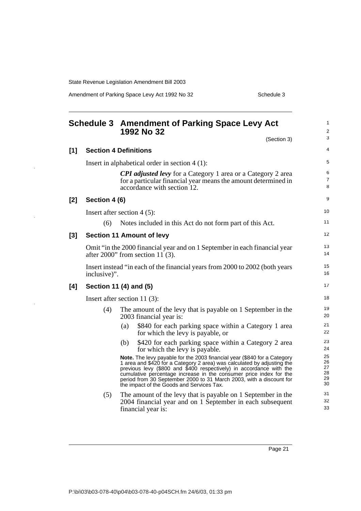Amendment of Parking Space Levy Act 1992 No 32 Schedule 3

<span id="page-28-0"></span>

|       |               | <b>Schedule 3 Amendment of Parking Space Levy Act</b><br>1992 No 32                                                                                                                                                                                                                                                                                                                                                  | $\mathbf{1}$<br>$\overline{c}$   |
|-------|---------------|----------------------------------------------------------------------------------------------------------------------------------------------------------------------------------------------------------------------------------------------------------------------------------------------------------------------------------------------------------------------------------------------------------------------|----------------------------------|
|       |               | (Section 3)                                                                                                                                                                                                                                                                                                                                                                                                          | 3                                |
| $[1]$ |               | <b>Section 4 Definitions</b>                                                                                                                                                                                                                                                                                                                                                                                         | 4                                |
|       |               | Insert in alphabetical order in section $4(1)$ :                                                                                                                                                                                                                                                                                                                                                                     | 5                                |
|       |               | CPI adjusted levy for a Category 1 area or a Category 2 area<br>for a particular financial year means the amount determined in<br>accordance with section 12.                                                                                                                                                                                                                                                        | 6<br>$\overline{7}$<br>8         |
| $[2]$ | Section 4 (6) |                                                                                                                                                                                                                                                                                                                                                                                                                      | 9                                |
|       |               | Insert after section $4(5)$ :                                                                                                                                                                                                                                                                                                                                                                                        | 10 <sup>1</sup>                  |
|       | (6)           | Notes included in this Act do not form part of this Act.                                                                                                                                                                                                                                                                                                                                                             | 11                               |
| $[3]$ |               | <b>Section 11 Amount of levy</b>                                                                                                                                                                                                                                                                                                                                                                                     | 12 <sup>°</sup>                  |
|       |               | Omit "in the 2000 financial year and on 1 September in each financial year<br>after 2000" from section 11 $(3)$ .                                                                                                                                                                                                                                                                                                    | 13<br>14                         |
|       | inclusive)".  | Insert instead "in each of the financial years from 2000 to 2002 (both years                                                                                                                                                                                                                                                                                                                                         | 15<br>16                         |
| $[4]$ |               | Section 11 (4) and (5)                                                                                                                                                                                                                                                                                                                                                                                               | 17                               |
|       |               | Insert after section 11 $(3)$ :                                                                                                                                                                                                                                                                                                                                                                                      | 18                               |
|       | (4)           | The amount of the levy that is payable on 1 September in the<br>2003 financial year is:                                                                                                                                                                                                                                                                                                                              | 19<br>20                         |
|       |               | \$840 for each parking space within a Category 1 area<br>(a)<br>for which the levy is payable, or                                                                                                                                                                                                                                                                                                                    | 21<br>22                         |
|       |               | \$420 for each parking space within a Category 2 area<br>(b)<br>for which the levy is payable.                                                                                                                                                                                                                                                                                                                       | 23<br>24                         |
|       |               | Note. The levy payable for the 2003 financial year (\$840 for a Category<br>1 area and \$420 for a Category 2 area) was calculated by adjusting the<br>previous levy (\$800 and \$400 respectively) in accordance with the<br>cumulative percentage increase in the consumer price index for the<br>period from 30 September 2000 to 31 March 2003, with a discount for<br>the impact of the Goods and Services Tax. | 25<br>26<br>27<br>28<br>29<br>30 |
|       | (5)           | The amount of the levy that is payable on 1 September in the<br>2004 financial year and on 1 September in each subsequent<br>financial year is:                                                                                                                                                                                                                                                                      | 31<br>32<br>33                   |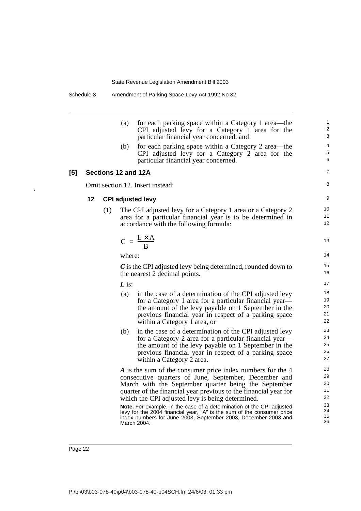- (a) for each parking space within a Category 1 area—the CPI adjusted levy for a Category 1 area for the particular financial year concerned, and
- (b) for each parking space within a Category 2 area—the CPI adjusted levy for a Category 2 area for the particular financial year concerned.

#### **[5] Sections 12 and 12A**

Omit section 12. Insert instead:

#### **12 CPI adjusted levy**

(1) The CPI adjusted levy for a Category 1 area or a Category 2 area for a particular financial year is to be determined in accordance with the following formula:

$$
C = \frac{L \times A}{B}
$$

where:

*C* is the CPI adjusted levy being determined, rounded down to the nearest 2 decimal points.

*L* is:

- (a) in the case of a determination of the CPI adjusted levy for a Category 1 area for a particular financial year the amount of the levy payable on 1 September in the previous financial year in respect of a parking space within a Category 1 area, or
- (b) in the case of a determination of the CPI adjusted levy for a Category 2 area for a particular financial year the amount of the levy payable on 1 September in the previous financial year in respect of a parking space within a Category 2 area.

*A* is the sum of the consumer price index numbers for the 4 consecutive quarters of June, September, December and March with the September quarter being the September quarter of the financial year previous to the financial year for which the CPI adjusted levy is being determined.

**Note.** For example, in the case of a determination of the CPI adjusted levy for the 2004 financial year, "A" is the sum of the consumer price index numbers for June 2003, September 2003, December 2003 and March 2004.

9

7

8

10 11 12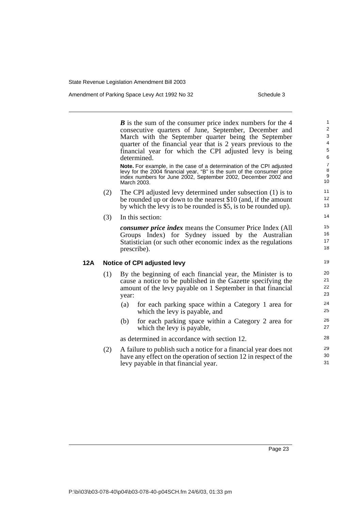Amendment of Parking Space Levy Act 1992 No 32 Schedule 3

*B* is the sum of the consumer price index numbers for the 4 consecutive quarters of June, September, December and March with the September quarter being the September quarter of the financial year that is 2 years previous to the financial year for which the CPI adjusted levy is being determined.

**Note.** For example, in the case of a determination of the CPI adjusted levy for the 2004 financial year, "B" is the sum of the consumer price index numbers for June 2002, September 2002, December 2002 and March 2003.

- (2) The CPI adjusted levy determined under subsection (1) is to be rounded up or down to the nearest \$10 (and, if the amount by which the levy is to be rounded is \$5, is to be rounded up).
- (3) In this section:

*consumer price index* means the Consumer Price Index (All Groups Index) for Sydney issued by the Australian Statistician (or such other economic index as the regulations prescribe).

#### **12A Notice of CPI adjusted levy**

- (1) By the beginning of each financial year, the Minister is to cause a notice to be published in the Gazette specifying the amount of the levy payable on 1 September in that financial year:
	- (a) for each parking space within a Category 1 area for which the levy is payable, and
	- (b) for each parking space within a Category 2 area for which the levy is payable,

as determined in accordance with section 12.

(2) A failure to publish such a notice for a financial year does not have any effect on the operation of section 12 in respect of the levy payable in that financial year.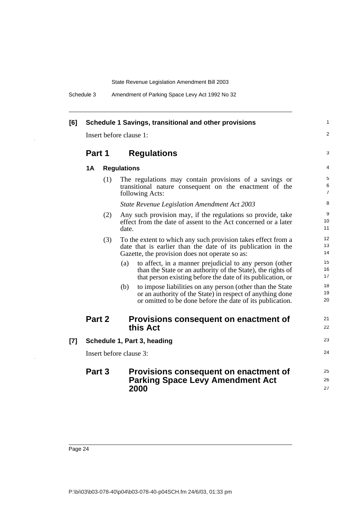Schedule 3 Amendment of Parking Space Levy Act 1992 No 32

|    |        | Insert before clause 1:                                                                                                                                                                      |
|----|--------|----------------------------------------------------------------------------------------------------------------------------------------------------------------------------------------------|
|    | Part 1 | <b>Regulations</b>                                                                                                                                                                           |
| 1Α |        | <b>Regulations</b>                                                                                                                                                                           |
|    | (1)    | The regulations may contain provisions of a savings or<br>transitional nature consequent on the enactment of the<br>following Acts:                                                          |
|    |        | State Revenue Legislation Amendment Act 2003                                                                                                                                                 |
|    | (2)    | Any such provision may, if the regulations so provide, take<br>effect from the date of assent to the Act concerned or a later<br>date.                                                       |
|    | (3)    | To the extent to which any such provision takes effect from a<br>date that is earlier than the date of its publication in the<br>Gazette, the provision does not operate so as:              |
|    |        | to affect, in a manner prejudicial to any person (other<br>(a)<br>than the State or an authority of the State), the rights of<br>that person existing before the date of its publication, or |
|    |        | (b)<br>to impose liabilities on any person (other than the State<br>or an authority of the State) in respect of anything done<br>or omitted to be done before the date of its publication.   |
|    | Part 2 | Provisions consequent on enactment of<br>this Act                                                                                                                                            |
|    |        | Schedule 1, Part 3, heading                                                                                                                                                                  |
|    |        | Insert before clause 3:                                                                                                                                                                      |
|    | Part 3 |                                                                                                                                                                                              |
|    |        | Provisions consequent on enactment of<br><b>Parking Space Levy Amendment Act</b>                                                                                                             |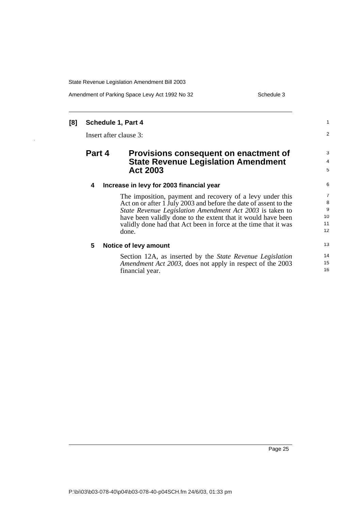Amendment of Parking Space Levy Act 1992 No 32 Schedule 3

#### **[8] Schedule 1, Part 4** Insert after clause 3: **Part 4 Provisions consequent on enactment of State Revenue Legislation Amendment Act 2003 4 Increase in levy for 2003 financial year** The imposition, payment and recovery of a levy under this Act on or after 1 July 2003 and before the date of assent to the *State Revenue Legislation Amendment Act 2003* is taken to have been validly done to the extent that it would have been validly done had that Act been in force at the time that it was done. **5 Notice of levy amount** Section 12A, as inserted by the *State Revenue Legislation Amendment Act 2003*, does not apply in respect of the 2003 financial year. 1  $\overline{2}$ 3 4 5 6 7 8 9 10 11 12 13 14 15 16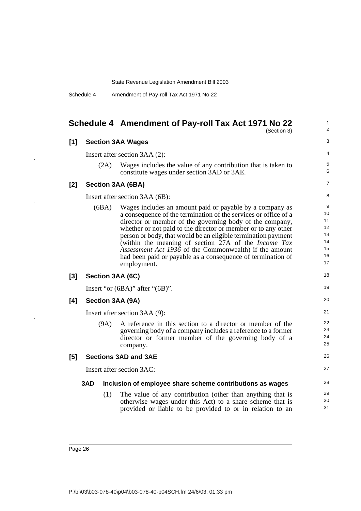Schedule 4 Amendment of Pay-roll Tax Act 1971 No 22

<span id="page-33-0"></span>

| $[1]$ |       | <b>Section 3AA Wages</b>                                                                                                                                                                                                                                                                                                                                                                                                                                                                                                  |
|-------|-------|---------------------------------------------------------------------------------------------------------------------------------------------------------------------------------------------------------------------------------------------------------------------------------------------------------------------------------------------------------------------------------------------------------------------------------------------------------------------------------------------------------------------------|
|       |       | Insert after section 3AA (2):                                                                                                                                                                                                                                                                                                                                                                                                                                                                                             |
|       | (2A)  | Wages includes the value of any contribution that is taken to<br>constitute wages under section 3AD or 3AE.                                                                                                                                                                                                                                                                                                                                                                                                               |
| $[2]$ |       | Section 3AA (6BA)                                                                                                                                                                                                                                                                                                                                                                                                                                                                                                         |
|       |       | Insert after section 3AA (6B):                                                                                                                                                                                                                                                                                                                                                                                                                                                                                            |
|       | (6BA) | Wages includes an amount paid or payable by a company as<br>a consequence of the termination of the services or office of a<br>director or member of the governing body of the company,<br>whether or not paid to the director or member or to any other<br>person or body, that would be an eligible termination payment<br>(within the meaning of section 27A of the Income Tax<br>Assessment Act 1936 of the Commonwealth) if the amount<br>had been paid or payable as a consequence of termination of<br>employment. |
| $[3]$ |       | Section 3AA (6C)                                                                                                                                                                                                                                                                                                                                                                                                                                                                                                          |
|       |       | Insert "or $(6BA)$ " after " $(6B)$ ".                                                                                                                                                                                                                                                                                                                                                                                                                                                                                    |
| [4]   |       | Section 3AA (9A)                                                                                                                                                                                                                                                                                                                                                                                                                                                                                                          |
|       |       | Insert after section 3AA (9):                                                                                                                                                                                                                                                                                                                                                                                                                                                                                             |
|       | (9A)  | A reference in this section to a director or member of the<br>governing body of a company includes a reference to a former<br>director or former member of the governing body of a<br>company.                                                                                                                                                                                                                                                                                                                            |
| [5]   |       | <b>Sections 3AD and 3AE</b>                                                                                                                                                                                                                                                                                                                                                                                                                                                                                               |
|       |       | Insert after section 3AC:                                                                                                                                                                                                                                                                                                                                                                                                                                                                                                 |
|       | 3AD   | Inclusion of employee share scheme contributions as wages                                                                                                                                                                                                                                                                                                                                                                                                                                                                 |
|       | (1)   | The value of any contribution (other than anything that is<br>otherwise wages under this Act) to a share scheme that is<br>provided or liable to be provided to or in relation to an                                                                                                                                                                                                                                                                                                                                      |

Page 26

 $\bar{\bar{z}}$ 

 $\overline{\phantom{a}}$ 

i,

J.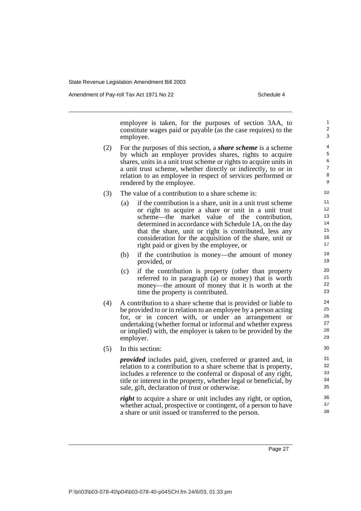Amendment of Pay-roll Tax Act 1971 No 22 Schedule 4

employee is taken, for the purposes of section 3AA, to constitute wages paid or payable (as the case requires) to the employee.

- (2) For the purposes of this section, a *share scheme* is a scheme by which an employer provides shares, rights to acquire shares, units in a unit trust scheme or rights to acquire units in a unit trust scheme, whether directly or indirectly, to or in relation to an employee in respect of services performed or rendered by the employee.
- (3) The value of a contribution to a share scheme is:
	- (a) if the contribution is a share, unit in a unit trust scheme or right to acquire a share or unit in a unit trust scheme—the market value of the contribution, determined in accordance with Schedule 1A, on the day that the share, unit or right is contributed, less any consideration for the acquisition of the share, unit or right paid or given by the employee, or
	- (b) if the contribution is money—the amount of money provided, or
	- (c) if the contribution is property (other than property referred to in paragraph (a) or money) that is worth money—the amount of money that it is worth at the time the property is contributed.
- (4) A contribution to a share scheme that is provided or liable to be provided to or in relation to an employee by a person acting for, or in concert with, or under an arrangement or undertaking (whether formal or informal and whether express or implied) with, the employer is taken to be provided by the employer.
- (5) In this section:

*provided* includes paid, given, conferred or granted and, in relation to a contribution to a share scheme that is property, includes a reference to the conferral or disposal of any right, title or interest in the property, whether legal or beneficial, by sale, gift, declaration of trust or otherwise.

*right* to acquire a share or unit includes any right, or option, whether actual, prospective or contingent, of a person to have a share or unit issued or transferred to the person.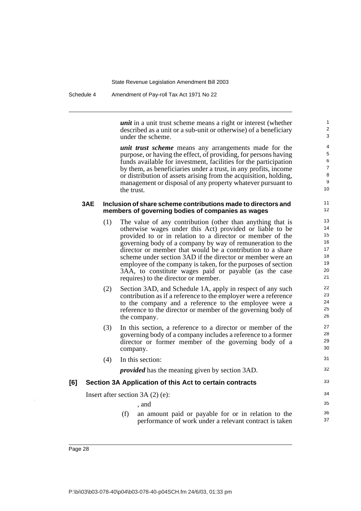Schedule 4 Amendment of Pay-roll Tax Act 1971 No 22

*unit* in a unit trust scheme means a right or interest (whether described as a unit or a sub-unit or otherwise) of a beneficiary under the scheme.

*unit trust scheme* means any arrangements made for the purpose, or having the effect, of providing, for persons having funds available for investment, facilities for the participation by them, as beneficiaries under a trust, in any profits, income or distribution of assets arising from the acquisition, holding, management or disposal of any property whatever pursuant to the trust.

#### **3AE Inclusion of share scheme contributions made to directors and members of governing bodies of companies as wages**

- (1) The value of any contribution (other than anything that is otherwise wages under this Act) provided or liable to be provided to or in relation to a director or member of the governing body of a company by way of remuneration to the director or member that would be a contribution to a share scheme under section 3AD if the director or member were an employee of the company is taken, for the purposes of section 3AA, to constitute wages paid or payable (as the case requires) to the director or member.
- (2) Section 3AD, and Schedule 1A, apply in respect of any such contribution as if a reference to the employer were a reference to the company and a reference to the employee were a reference to the director or member of the governing body of the company.
- (3) In this section, a reference to a director or member of the governing body of a company includes a reference to a former director or former member of the governing body of a company.
- (4) In this section: *provided* has the meaning given by section 3AD. **[6] Section 3A Application of this Act to certain contracts**

Insert after section 3A (2) (e):

, and

(f) an amount paid or payable for or in relation to the performance of work under a relevant contract is taken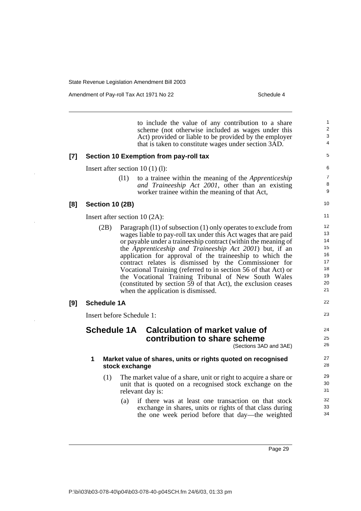Amendment of Pay-roll Tax Act 1971 No 22 Schedule 4

10

23

24 25 26

to include the value of any contribution to a share scheme (not otherwise included as wages under this Act) provided or liable to be provided by the employer that is taken to constitute wages under section 3AD.

#### **[7] Section 10 Exemption from pay-roll tax**

Insert after section 10 (1) (l):

(l1) to a trainee within the meaning of the *Apprenticeship and Traineeship Act 2001*, other than an existing worker trainee within the meaning of that Act,

#### **[8] Section 10 (2B)**

Insert after section 10 (2A):

(2B) Paragraph (l1) of subsection (1) only operates to exclude from wages liable to pay-roll tax under this Act wages that are paid or payable under a traineeship contract (within the meaning of the *Apprenticeship and Traineeship Act 2001*) but, if an application for approval of the traineeship to which the contract relates is dismissed by the Commissioner for Vocational Training (referred to in section 56 of that Act) or the Vocational Training Tribunal of New South Wales (constituted by section 59 of that Act), the exclusion ceases when the application is dismissed.

#### **[9] Schedule 1A**

Insert before Schedule 1:

## **Schedule 1A Calculation of market value of contribution to share scheme**

(Sections 3AD and 3AE)

### **1 Market value of shares, units or rights quoted on recognised stock exchange**

- (1) The market value of a share, unit or right to acquire a share or unit that is quoted on a recognised stock exchange on the relevant day is:
	- (a) if there was at least one transaction on that stock exchange in shares, units or rights of that class during the one week period before that day—the weighted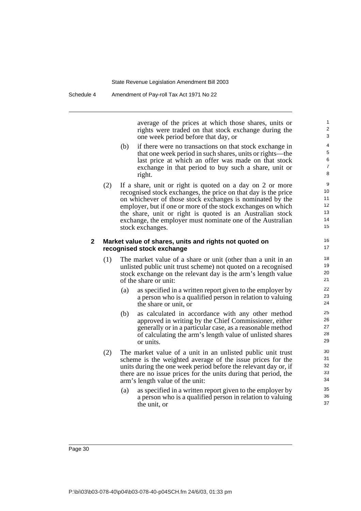average of the prices at which those shares, units or rights were traded on that stock exchange during the one week period before that day, or

- (b) if there were no transactions on that stock exchange in that one week period in such shares, units or rights—the last price at which an offer was made on that stock exchange in that period to buy such a share, unit or right.
- (2) If a share, unit or right is quoted on a day on 2 or more recognised stock exchanges, the price on that day is the price on whichever of those stock exchanges is nominated by the employer, but if one or more of the stock exchanges on which the share, unit or right is quoted is an Australian stock exchange, the employer must nominate one of the Australian stock exchanges.

#### **2 Market value of shares, units and rights not quoted on recognised stock exchange**

- (1) The market value of a share or unit (other than a unit in an unlisted public unit trust scheme) not quoted on a recognised stock exchange on the relevant day is the arm's length value of the share or unit:
	- (a) as specified in a written report given to the employer by a person who is a qualified person in relation to valuing the share or unit, or
	- (b) as calculated in accordance with any other method approved in writing by the Chief Commissioner, either generally or in a particular case, as a reasonable method of calculating the arm's length value of unlisted shares or units.
- (2) The market value of a unit in an unlisted public unit trust scheme is the weighted average of the issue prices for the units during the one week period before the relevant day or, if there are no issue prices for the units during that period, the arm's length value of the unit:
	- (a) as specified in a written report given to the employer by a person who is a qualified person in relation to valuing the unit, or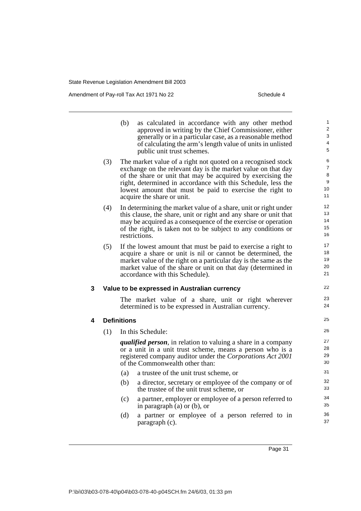Amendment of Pay-roll Tax Act 1971 No 22 Schedule 4

|   |     | (b)                | as calculated in accordance with any other method<br>approved in writing by the Chief Commissioner, either<br>generally or in a particular case, as a reasonable method<br>of calculating the arm's length value of units in unlisted<br>public unit trust schemes.                                                                                   | 1<br>2<br>3<br>4<br>5                     |
|---|-----|--------------------|-------------------------------------------------------------------------------------------------------------------------------------------------------------------------------------------------------------------------------------------------------------------------------------------------------------------------------------------------------|-------------------------------------------|
|   | (3) |                    | The market value of a right not quoted on a recognised stock<br>exchange on the relevant day is the market value on that day<br>of the share or unit that may be acquired by exercising the<br>right, determined in accordance with this Schedule, less the<br>lowest amount that must be paid to exercise the right to<br>acquire the share or unit. | 6<br>$\overline{7}$<br>8<br>9<br>10<br>11 |
|   | (4) |                    | In determining the market value of a share, unit or right under<br>this clause, the share, unit or right and any share or unit that<br>may be acquired as a consequence of the exercise or operation<br>of the right, is taken not to be subject to any conditions or<br>restrictions.                                                                | 12<br>13<br>14<br>15<br>16                |
|   | (5) |                    | If the lowest amount that must be paid to exercise a right to<br>acquire a share or unit is nil or cannot be determined, the<br>market value of the right on a particular day is the same as the<br>market value of the share or unit on that day (determined in<br>accordance with this Schedule).                                                   | 17<br>18<br>19<br>20<br>21                |
| 3 |     |                    | Value to be expressed in Australian currency                                                                                                                                                                                                                                                                                                          | 22                                        |
|   |     |                    | The market value of a share, unit or right wherever<br>determined is to be expressed in Australian currency.                                                                                                                                                                                                                                          | 23<br>24                                  |
| 4 |     | <b>Definitions</b> |                                                                                                                                                                                                                                                                                                                                                       | 25                                        |
|   | (1) |                    | In this Schedule:                                                                                                                                                                                                                                                                                                                                     | 26                                        |
|   |     |                    | <i>qualified person</i> , in relation to valuing a share in a company<br>or a unit in a unit trust scheme, means a person who is a<br>registered company auditor under the Corporations Act 2001<br>of the Commonwealth other than:                                                                                                                   | 27<br>28<br>29<br>30                      |
|   |     | (a)                | a trustee of the unit trust scheme, or                                                                                                                                                                                                                                                                                                                | 31                                        |
|   |     | (b)                | a director, secretary or employee of the company or of<br>the trustee of the unit trust scheme, or                                                                                                                                                                                                                                                    | 32<br>33                                  |
|   |     | (c)                | a partner, employer or employee of a person referred to<br>in paragraph $(a)$ or $(b)$ , or                                                                                                                                                                                                                                                           | 34<br>35                                  |
|   |     | (d)                | a partner or employee of a person referred to in<br>paragraph (c).                                                                                                                                                                                                                                                                                    | 36<br>37                                  |